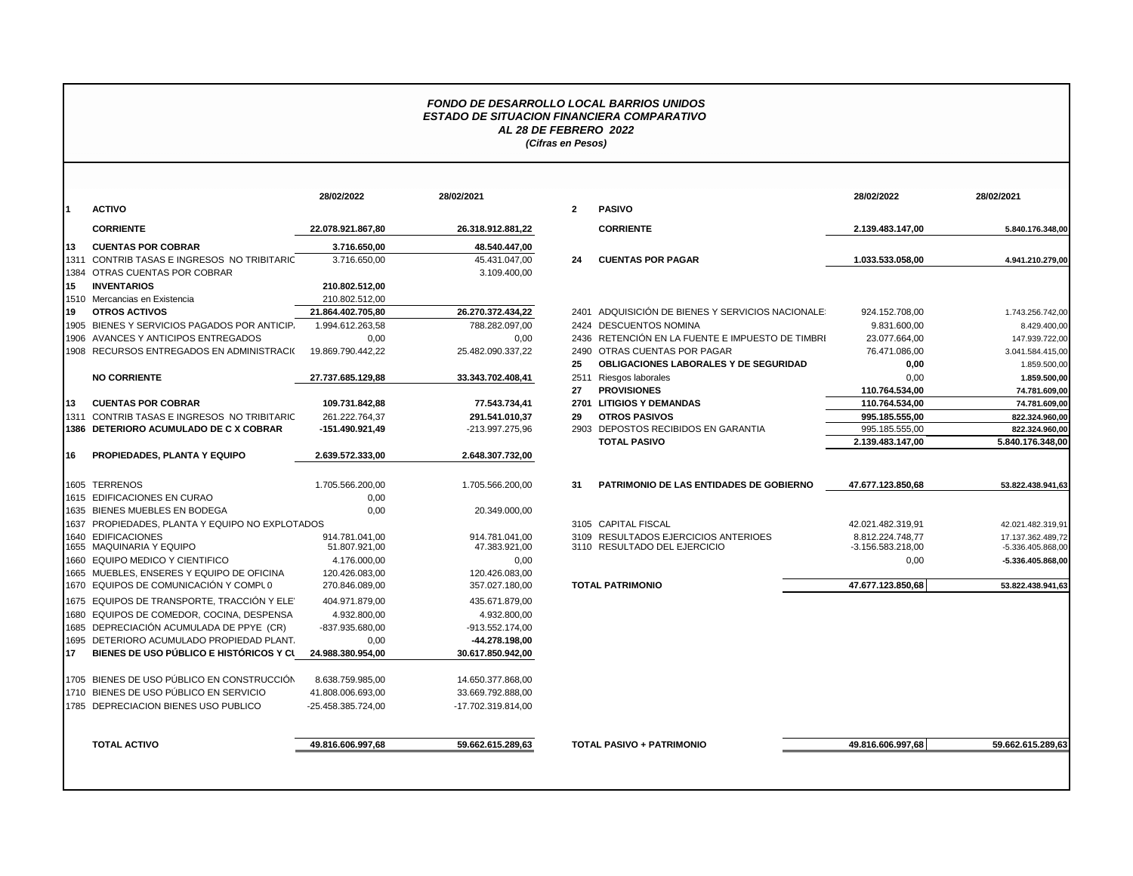## *FONDO DE DESARROLLO LOCAL BARRIOS UNIDOS ESTADO DE SITUACION FINANCIERA COMPARATIVO AL 28 DE FEBRERO 2022 (Cifras en Pesos)*

|     |                                                 | 28/02/2022         | 28/02/2021         |                |                                                  | 28/02/2022          | 28/02/2021        |
|-----|-------------------------------------------------|--------------------|--------------------|----------------|--------------------------------------------------|---------------------|-------------------|
|     | <b>ACTIVO</b>                                   |                    |                    | $\overline{2}$ | <b>PASIVO</b>                                    |                     |                   |
|     | <b>CORRIENTE</b>                                | 22.078.921.867.80  | 26.318.912.881,22  |                | <b>CORRIENTE</b>                                 | 2.139.483.147,00    | 5.840.176.348,00  |
| 113 | <b>CUENTAS POR COBRAR</b>                       | 3.716.650.00       | 48.540.447,00      |                |                                                  |                     |                   |
|     | 1311 CONTRIB TASAS E INGRESOS NO TRIBITARIC     | 3.716.650,00       | 45.431.047,00      | 24             | <b>CUENTAS POR PAGAR</b>                         | 1.033.533.058,00    | 4.941.210.279,00  |
|     | 1384 OTRAS CUENTAS POR COBRAR                   |                    | 3.109.400,00       |                |                                                  |                     |                   |
| 15  | <b>INVENTARIOS</b>                              | 210.802.512.00     |                    |                |                                                  |                     |                   |
|     | 1510 Mercancias en Existencia                   | 210.802.512,00     |                    |                |                                                  |                     |                   |
| 19  | <b>OTROS ACTIVOS</b>                            | 21.864.402.705.80  | 26.270.372.434,22  |                | 2401 ADQUISICIÓN DE BIENES Y SERVICIOS NACIONALE | 924.152.708,00      | 1.743.256.742,00  |
|     | 1905 BIENES Y SERVICIOS PAGADOS POR ANTICIP.    | 1.994.612.263,58   | 788.282.097,00     |                | 2424 DESCUENTOS NOMINA                           | 9.831.600,00        | 8.429.400,00      |
|     | 1906 AVANCES Y ANTICIPOS ENTREGADOS             | 0,00               | 0,00               |                | 2436 RETENCIÓN EN LA FUENTE E IMPUESTO DE TIMBRI | 23.077.664,00       | 147.939.722,00    |
|     | 1908 RECURSOS ENTREGADOS EN ADMINISTRACI(       | 19.869.790.442,22  | 25.482.090.337,22  |                | 2490 OTRAS CUENTAS POR PAGAR                     | 76.471.086,00       | 3.041.584.415,00  |
|     |                                                 |                    |                    | 25             | OBLIGACIONES LABORALES Y DE SEGURIDAD            | 0,00                | 1.859.500,00      |
|     | <b>NO CORRIENTE</b>                             | 27.737.685.129.88  | 33.343.702.408,41  |                | 2511 Riesgos laborales                           | 0,00                | 1.859.500,00      |
|     |                                                 |                    |                    | 27             | <b>PROVISIONES</b>                               | 110.764.534,00      | 74.781.609,00     |
| 113 | <b>CUENTAS POR COBRAR</b>                       | 109.731.842,88     | 77.543.734,41      |                | 2701 LITIGIOS Y DEMANDAS                         | 110.764.534,00      | 74.781.609,00     |
|     | 1311 CONTRIB TASAS E INGRESOS NO TRIBITARIC     | 261.222.764,37     | 291.541.010,37     | 29             | <b>OTROS PASIVOS</b>                             | 995.185.555,00      | 822.324.960,00    |
|     | 1386 DETERIORO ACUMULADO DE C X COBRAR          | -151.490.921,49    | -213.997.275,96    |                | 2903 DEPOSTOS RECIBIDOS EN GARANTIA              | 995.185.555,00      | 822.324.960,00    |
|     |                                                 |                    |                    |                | <b>TOTAL PASIVO</b>                              | 2.139.483.147,00    | 5.840.176.348,00  |
| 16  | PROPIEDADES, PLANTA Y EQUIPO                    | 2.639.572.333,00   | 2.648.307.732,00   |                |                                                  |                     |                   |
|     | 1605 TERRENOS                                   | 1.705.566.200,00   | 1.705.566.200,00   | -31            | <b>PATRIMONIO DE LAS ENTIDADES DE GOBIERNO</b>   | 47.677.123.850.68   | 53.822.438.941.63 |
|     | 1615 EDIFICACIONES EN CURAO                     | 0,00               |                    |                |                                                  |                     |                   |
|     | 1635 BIENES MUEBLES EN BODEGA                   | 0,00               | 20.349.000,00      |                |                                                  |                     |                   |
|     | 1637 PROPIEDADES, PLANTA Y EQUIPO NO EXPLOTADOS |                    |                    |                | 3105 CAPITAL FISCAL                              | 42.021.482.319.91   | 42.021.482.319.91 |
|     | 1640 EDIFICACIONES                              | 914.781.041.00     | 914.781.041.00     |                | 3109 RESULTADOS EJERCICIOS ANTERIOES             | 8.812.224.748.77    | 17.137.362.489,72 |
|     | 1655 MAQUINARIA Y EQUIPO                        | 51.807.921,00      | 47.383.921,00      |                | 3110 RESULTADO DEL EJERCICIO                     | $-3.156.583.218,00$ | -5.336.405.868,00 |
|     | 1660 EQUIPO MEDICO Y CIENTIFICO                 | 4.176.000,00       | 0,00               |                |                                                  | 0,00                | -5.336.405.868,00 |
|     | 1665 MUEBLES, ENSERES Y EQUIPO DE OFICINA       | 120.426.083,00     | 120.426.083,00     |                |                                                  |                     |                   |
|     | 1670 EQUIPOS DE COMUNICACIÓN Y COMPLO           | 270.846.089,00     | 357.027.180,00     |                | <b>TOTAL PATRIMONIO</b>                          | 47.677.123.850.68   | 53.822.438.941,63 |
|     | 1675 EQUIPOS DE TRANSPORTE, TRACCIÓN Y ELE      | 404.971.879,00     | 435.671.879,00     |                |                                                  |                     |                   |
|     | 1680 EQUIPOS DE COMEDOR, COCINA, DESPENSA       | 4.932.800.00       | 4.932.800.00       |                |                                                  |                     |                   |
|     | 1685 DEPRECIACIÓN ACUMULADA DE PPYE (CR)        | -837.935.680,00    | -913.552.174,00    |                |                                                  |                     |                   |
|     | 1695 DETERIORO ACUMULADO PROPIEDAD PLANT.       | 0,00               | -44.278.198,00     |                |                                                  |                     |                   |
| 17  | BIENES DE USO PÚBLICO E HISTÓRICOS Y CL         | 24.988.380.954,00  | 30.617.850.942,00  |                |                                                  |                     |                   |
|     | 1705 BIENES DE USO PÚBLICO EN CONSTRUCCIÓN      | 8.638.759.985,00   | 14.650.377.868,00  |                |                                                  |                     |                   |
|     | 1710 BIENES DE USO PÚBLICO EN SERVICIO          | 41.808.006.693,00  | 33.669.792.888,00  |                |                                                  |                     |                   |
|     | 1785 DEPRECIACION BIENES USO PUBLICO            | -25.458.385.724.00 | -17.702.319.814,00 |                |                                                  |                     |                   |
|     |                                                 |                    |                    |                |                                                  |                     |                   |
|     | <b>TOTAL ACTIVO</b>                             | 49.816.606.997.68  | 59.662.615.289.63  |                | <b>TOTAL PASIVO + PATRIMONIO</b>                 | 49.816.606.997.68   | 59.662.615.289.63 |

|                                            | 28/02/2022         | 28/02/2021         |                |                                                  | 28/02/2022        | 28/02/2021        |
|--------------------------------------------|--------------------|--------------------|----------------|--------------------------------------------------|-------------------|-------------------|
| ACTIVO                                     |                    |                    | $\overline{2}$ | <b>PASIVO</b>                                    |                   |                   |
| <b>CORRIENTE</b>                           | 22.078.921.867.80  | 26.318.912.881,22  |                | <b>CORRIENTE</b>                                 | 2.139.483.147.00  | 5.840.176.348,00  |
| <b>CUENTAS POR COBRAR</b>                  | 3.716.650.00       | 48.540.447,00      |                |                                                  |                   |                   |
| CONTRIB TASAS E INGRESOS NO TRIBITARIC     | 3.716.650.00       | 45.431.047,00      | 24             | <b>CUENTAS POR PAGAR</b>                         | 1.033.533.058.00  | 4.941.210.279,00  |
| OTRAS CUENTAS POR COBRAR                   |                    | 3.109.400,00       |                |                                                  |                   |                   |
| <b>INVENTARIOS</b>                         | 210.802.512,00     |                    |                |                                                  |                   |                   |
| Mercancias en Existencia                   | 210.802.512,00     |                    |                |                                                  |                   |                   |
| <b>OTROS ACTIVOS</b>                       | 21.864.402.705,80  | 26.270.372.434,22  |                | 2401 ADQUISICIÓN DE BIENES Y SERVICIOS NACIONALE | 924.152.708,00    | 1.743.256.742,00  |
| BIENES Y SERVICIOS PAGADOS POR ANTICIP.    | 1.994.612.263,58   | 788.282.097,00     |                | 2424 DESCUENTOS NOMINA                           | 9.831.600,00      | 8.429.400,00      |
| AVANCES Y ANTICIPOS ENTREGADOS             | 0,00               | 0,00               |                | 2436 RETENCIÓN EN LA FUENTE E IMPUESTO DE TIMBRI | 23.077.664,00     | 147.939.722,00    |
| RECURSOS ENTREGADOS EN ADMINISTRACI(       | 19.869.790.442,22  | 25.482.090.337,22  | 2490           | OTRAS CUENTAS POR PAGAR                          | 76.471.086,00     | 3.041.584.415,00  |
|                                            |                    |                    | 25             | OBLIGACIONES LABORALES Y DE SEGURIDAD            | 0,00              | 1.859.500,00      |
| NO CORRIENTE                               | 27.737.685.129.88  | 33.343.702.408,41  |                | 2511 Riesgos laborales                           | 0,00              | 1.859.500,00      |
|                                            |                    |                    | 27             | <b>PROVISIONES</b>                               | 110.764.534,00    | 74.781.609,00     |
| <b>CUENTAS POR COBRAR</b>                  | 109.731.842,88     | 77.543.734,41      |                | 2701 LITIGIOS Y DEMANDAS                         | 110.764.534,00    | 74.781.609,00     |
| CONTRIB TASAS E INGRESOS NO TRIBITARIC     | 261.222.764.37     | 291.541.010,37     | 29             | <b>OTROS PASIVOS</b>                             | 995.185.555,00    | 822.324.960,00    |
| <b>DETERIORO ACUMULADO DE C X COBRAR</b>   | -151.490.921,49    | -213.997.275,96    |                | 2903 DEPOSTOS RECIBIDOS EN GARANTIA              | 995.185.555,00    | 822.324.960,00    |
|                                            |                    |                    |                | <b>TOTAL PASIVO</b>                              | 2.139.483.147,00  | 5.840.176.348,00  |
| PROPIEDADES, PLANTA Y EQUIPO               | 2.639.572.333.00   | 2.648.307.732,00   |                |                                                  |                   |                   |
|                                            |                    |                    |                |                                                  |                   |                   |
| TERRENOS                                   | 1.705.566.200,00   | 1.705.566.200,00   | 31             | <b>PATRIMONIO DE LAS ENTIDADES DE GOBIERNO</b>   | 47.677.123.850,68 | 53.822.438.941,63 |
| <b>EDIFICACIONES EN CURAO</b>              | 0,00               |                    |                |                                                  |                   |                   |
| <b>BIENES MUEBLES EN BODEGA</b>            | 0,00               | 20.349.000,00      |                |                                                  |                   |                   |
| PROPIEDADES. PLANTA Y EQUIPO NO EXPLOTADOS |                    |                    |                | 3105 CAPITAL FISCAL                              | 42.021.482.319.91 | 42.021.482.319,91 |
| <b>EDIFICACIONES</b>                       | 914.781.041.00     | 914.781.041.00     |                | 3109 RESULTADOS EJERCICIOS ANTERIOES             | 8.812.224.748.77  | 17.137.362.489,72 |
| MAQUINARIA Y EQUIPO                        | 51.807.921,00      | 47.383.921,00      |                | 3110 RESULTADO DEL EJERCICIO                     | -3.156.583.218,00 | -5.336.405.868,00 |
| EQUIPO MEDICO Y CIENTIFICO                 | 4.176.000,00       | 0,00               |                |                                                  | 0,00              | -5.336.405.868,00 |
| MUEBLES, ENSERES Y EQUIPO DE OFICINA       | 120.426.083,00     | 120.426.083,00     |                |                                                  |                   |                   |
| EQUIPOS DE COMUNICACIÓN Y COMPLO           | 270.846.089,00     | 357.027.180.00     |                | <b>TOTAL PATRIMONIO</b>                          | 47.677.123.850.68 | 53.822.438.941.63 |
| EQUIPOS DE TRANSPORTE, TRACCIÓN Y ELE'     | 404.971.879,00     | 435.671.879,00     |                |                                                  |                   |                   |
| EQUIPOS DE COMEDOR, COCINA, DESPENSA       | 4.932.800,00       | 4.932.800,00       |                |                                                  |                   |                   |
| DEPRECIACIÓN ACUMULADA DE PPYE (CR)        | -837.935.680,00    | -913.552.174,00    |                |                                                  |                   |                   |
| DETERIORO ACUMULADO PROPIEDAD PLANT.       | 0,00               | -44.278.198.00     |                |                                                  |                   |                   |
| BIENES DE USO PÚBLICO E HISTÓRICOS Y CL    | 24.988.380.954,00  | 30.617.850.942,00  |                |                                                  |                   |                   |
|                                            |                    |                    |                |                                                  |                   |                   |
| BIENES DE USO PÚBLICO EN CONSTRUCCIÓN      | 8.638.759.985,00   | 14.650.377.868,00  |                |                                                  |                   |                   |
| BIENES DE USO PÚBLICO EN SERVICIO          | 41.808.006.693,00  | 33.669.792.888,00  |                |                                                  |                   |                   |
| DEPRECIACION BIENES USO PUBLICO            | -25.458.385.724.00 | -17.702.319.814.00 |                |                                                  |                   |                   |
|                                            |                    |                    |                |                                                  |                   |                   |
| <b>TOTAL ACTIVO</b>                        | 49.816.606.997.68  | 59.662.615.289,63  |                | <b>TOTAL PASIVO + PATRIMONIO</b>                 | 49.816.606.997,68 | 59.662.615.289.63 |
|                                            |                    |                    |                |                                                  |                   |                   |